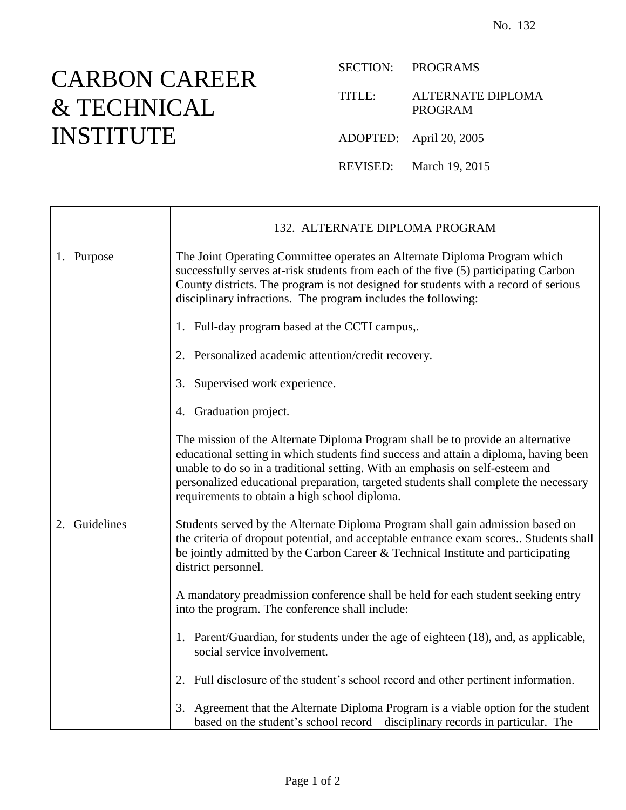## CARBON CAREER & TECHNICAL INSTITUTE

SECTION: PROGRAMS

TITLE: ALTERNATE DIPLOMA PROGRAM

ADOPTED: April 20, 2005

REVISED: March 19, 2015

|                  | 132. ALTERNATE DIPLOMA PROGRAM                                                                                                                                                                                                                                                                                                                                                                    |
|------------------|---------------------------------------------------------------------------------------------------------------------------------------------------------------------------------------------------------------------------------------------------------------------------------------------------------------------------------------------------------------------------------------------------|
| 1. Purpose       | The Joint Operating Committee operates an Alternate Diploma Program which<br>successfully serves at-risk students from each of the five (5) participating Carbon<br>County districts. The program is not designed for students with a record of serious<br>disciplinary infractions. The program includes the following:                                                                          |
|                  | 1. Full-day program based at the CCTI campus,.                                                                                                                                                                                                                                                                                                                                                    |
|                  | 2. Personalized academic attention/credit recovery.                                                                                                                                                                                                                                                                                                                                               |
|                  | Supervised work experience.<br>3.                                                                                                                                                                                                                                                                                                                                                                 |
|                  | 4. Graduation project.                                                                                                                                                                                                                                                                                                                                                                            |
|                  | The mission of the Alternate Diploma Program shall be to provide an alternative<br>educational setting in which students find success and attain a diploma, having been<br>unable to do so in a traditional setting. With an emphasis on self-esteem and<br>personalized educational preparation, targeted students shall complete the necessary<br>requirements to obtain a high school diploma. |
| Guidelines<br>2. | Students served by the Alternate Diploma Program shall gain admission based on<br>the criteria of dropout potential, and acceptable entrance exam scores Students shall<br>be jointly admitted by the Carbon Career & Technical Institute and participating<br>district personnel.                                                                                                                |
|                  | A mandatory preadmission conference shall be held for each student seeking entry<br>into the program. The conference shall include:                                                                                                                                                                                                                                                               |
|                  | 1. Parent/Guardian, for students under the age of eighteen (18), and, as applicable,<br>social service involvement.                                                                                                                                                                                                                                                                               |
|                  | 2. Full disclosure of the student's school record and other pertinent information.                                                                                                                                                                                                                                                                                                                |
|                  | Agreement that the Alternate Diploma Program is a viable option for the student<br>3.<br>based on the student's school record - disciplinary records in particular. The                                                                                                                                                                                                                           |